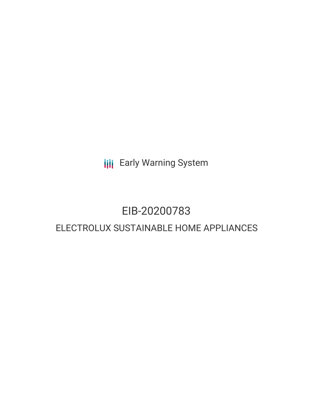**III** Early Warning System

# EIB-20200783

# ELECTROLUX SUSTAINABLE HOME APPLIANCES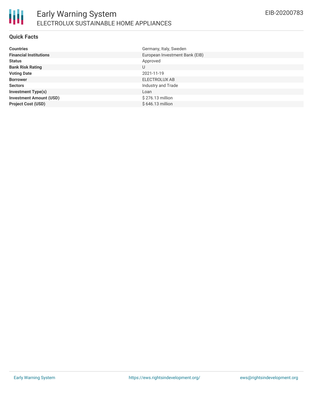# **Quick Facts**

| <b>Countries</b>               | Germany, Italy, Sweden         |
|--------------------------------|--------------------------------|
| <b>Financial Institutions</b>  | European Investment Bank (EIB) |
| <b>Status</b>                  | Approved                       |
| <b>Bank Risk Rating</b>        | U                              |
| <b>Voting Date</b>             | 2021-11-19                     |
| <b>Borrower</b>                | ELECTROLUX AB                  |
| <b>Sectors</b>                 | Industry and Trade             |
| <b>Investment Type(s)</b>      | Loan                           |
| <b>Investment Amount (USD)</b> | \$276.13 million               |
| <b>Project Cost (USD)</b>      | \$646.13 million               |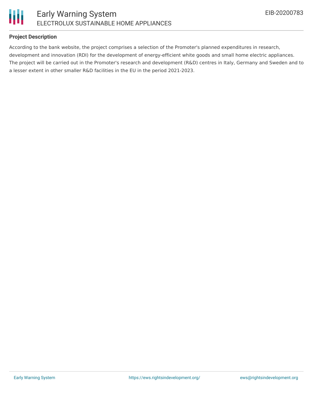

# **Project Description**

According to the bank website, the project comprises a selection of the Promoter's planned expenditures in research, development and innovation (RDI) for the development of energy-efficient white goods and small home electric appliances. The project will be carried out in the Promoter's research and development (R&D) centres in Italy, Germany and Sweden and to a lesser extent in other smaller R&D facilities in the EU in the period 2021-2023.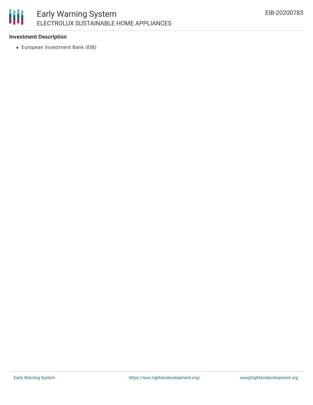# 冊 Early Warning System ELECTROLUX SUSTAINABLE HOME APPLIANCES

## **Investment Description**

European Investment Bank (EIB)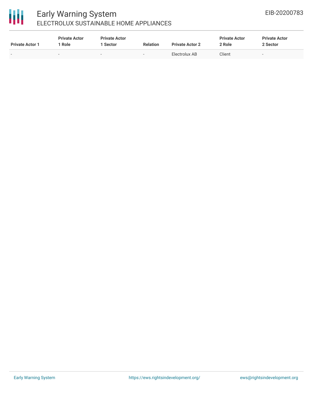# 冊

# Early Warning System ELECTROLUX SUSTAINABLE HOME APPLIANCES

| <b>Private Actor 1</b>   | <b>Private Actor</b><br>Role | <b>Private Actor</b><br>Sector | <b>Relation</b>          | <b>Private Actor 2</b> | <b>Private Actor</b><br>2 Role | <b>Private Actor</b><br>2 Sector |
|--------------------------|------------------------------|--------------------------------|--------------------------|------------------------|--------------------------------|----------------------------------|
| $\overline{\phantom{0}}$ | $\overline{\phantom{0}}$     |                                | $\overline{\phantom{a}}$ | Electrolux AB          | Client                         | $\overline{\phantom{0}}$         |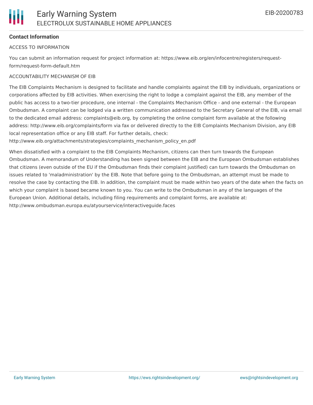# **Contact Information**

## ACCESS TO INFORMATION

You can submit an information request for project information at: https://www.eib.org/en/infocentre/registers/requestform/request-form-default.htm

## ACCOUNTABILITY MECHANISM OF EIB

The EIB Complaints Mechanism is designed to facilitate and handle complaints against the EIB by individuals, organizations or corporations affected by EIB activities. When exercising the right to lodge a complaint against the EIB, any member of the public has access to a two-tier procedure, one internal - the Complaints Mechanism Office - and one external - the European Ombudsman. A complaint can be lodged via a written communication addressed to the Secretary General of the EIB, via email to the dedicated email address: complaints@eib.org, by completing the online complaint form available at the following address: http://www.eib.org/complaints/form via fax or delivered directly to the EIB Complaints Mechanism Division, any EIB local representation office or any EIB staff. For further details, check:

http://www.eib.org/attachments/strategies/complaints\_mechanism\_policy\_en.pdf

When dissatisfied with a complaint to the EIB Complaints Mechanism, citizens can then turn towards the European Ombudsman. A memorandum of Understanding has been signed between the EIB and the European Ombudsman establishes that citizens (even outside of the EU if the Ombudsman finds their complaint justified) can turn towards the Ombudsman on issues related to 'maladministration' by the EIB. Note that before going to the Ombudsman, an attempt must be made to resolve the case by contacting the EIB. In addition, the complaint must be made within two years of the date when the facts on which your complaint is based became known to you. You can write to the Ombudsman in any of the languages of the European Union. Additional details, including filing requirements and complaint forms, are available at: http://www.ombudsman.europa.eu/atyourservice/interactiveguide.faces